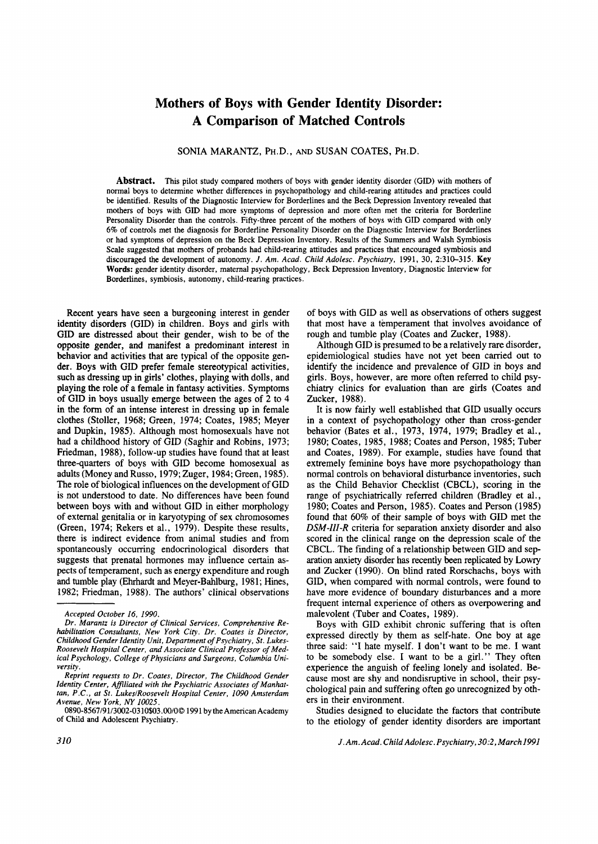# **Mothers of Boys with Gender Identity Disorder: A Comparison of Matched Controls**

SONIA MARANTZ, PH.D., **AND** SUSAN COATES, PH.D.

**Abstract.** This pilot study compared mothers of boys with gender identity disorder (GID) with mothers of normal boys to determine whether differences in psychopathology and child-rearing attitudes and practices could be identified. Results of the Diagnostic Interview for Borderlines and the Beck Depression Inventory revealed that mothers of boys with **GID** had more symptoms of depression and more often met the criteria for Borderline Personality Disorder than the controls. Fifty-three percent of the mothers of boys with GID compared with only 6% of controls met the diagnosis for Borderline Personality Disorder on the Diagnostic Interview for Borderlines or had symptoms of depression on the Beck Depression Inventory. Results of the Summers and Walsh Symbiosis Scale suggested that mothers of probands had child-rearing attitudes and practices that encouraged symbiosis and discouraged the development of autonomy. *J. Am. Acad. Child Adolesc. Psychiatry,* 1991, 30, 2:310-315. **Key Words:** gender identity disorder, maternal psychopathology, Beck Depression Inventory, Diagnostic Interview for Borderlines, symbiosis, autonomy, child-rearing practices.

Recent years have seen a burgeoning interest in gender identity disorders (GID) in children. Boys and girls with GID **are** distressed about their gender, wish to be of the opposite gender, and manifest a predominant interest in behavior and activities that are typical of the opposite gender. Boys with GID prefer female stereotypical activities, such as dressing up in girls' clothes, playing with dolls, and playing the role **of** a female in fantasy activities. Symptoms **of** GID in boys usually emerge between the ages **of 2** to **4**  in the form **of** an intense interest in dressing up in female clothes (Stoller, **1968;** Green, **1974;** Coates, **1985;** Meyer and Dupkin, **1985).** Although most homosexuals have not had a childhood history of GID (Saghir and Robins, **1973;**  Friedman, **1988),** follow-up studies have found that at least three-quarters **of** boys with GID become homosexual as adults (Money and Russo, **1979;** Zuger, **1984;** Green, **1985).**  The role of biological influences on the development of GID is not understood to date. No differences have been found between boys with and without GID in either morphology **of** external genitalia or in karyotyping of sex chromosomes (Green, **1974;** Rekers et al., **1979).** Despite these results, there is indirect evidence from animal studies and from spontaneously occurring endocrinological disorders that suggests that prenatal hormones may influence certain aspects of temperament, such as energy expenditure and rough and tumble play (Ehrhardt and Meyer-Bahlburg, **1981;** Hines, **1982;** Friedman, **1988).** The authors' clinical observations

of boys with GID as well as observations of others suggest that most have a temperament that involves avoidance of rough and tumble play (Coates and Zucker, **1988).** 

Although GID is presumed to be a relatively rare disorder, epidemiological studies have not yet been carried out to identify the incidence and prevalence of GID in boys and girls. Boys, however, are more often referred to child psychiatry clinics for evaluation than are girls (Coates and Zucker, **1988).** 

It is now fairly well established that GID usually occurs in a context of psychopathology other than cross-gender behavior (Bates et al., **1973, 1974, 1979;** Bradley et al., **1980;** Coates, **1985, 1988;** Coates and Person, **1985;** Tuber and Coates, **1989).** For example, studies have found that extremely feminine boys have more psychopathology than normal controls on behavioral disturbance inventories, such as the Child Behavior Checklist (CBCL), scoring in the range of psychiatrically referred children (Bradley et al., **1980;** Coates and Person, **1985).** Coates and Person **(1985)**  found that **60%** of their sample of boys with GID met the *DSM-III-R* criteria for separation anxiety disorder and also scored in the clinical range on the depression scale of the CBCL. The finding of a relationship between GID and separation anxiety disorder has recently been replicated by Lowry and Zucker **(1990).** On blind rated Rorschachs, boys with GID, when compared with normal controls, were found to have more evidence of boundary disturbances and **a** more frequent internal experience of others as overpowering and malevolent (Tuber and Coates, **1989).** 

Boys with GID exhibit chronic suffering that is often expressed directly by them as self-hate. One boy at age three said: ''I hate myself. I don't want to be me. I want to be somebody else. **I** want to be a girl." They often experience the anguish of feeling lonely and isolated. Because most are shy and nondisruptive in school, their psychological pain and suffering often go unrecognized by others in their environment.

Studies designed to elucidate the factors that contribute to the etiology of gender identity disorders are important

*Accepted October 16, 1990.* 

*Dr. Marantz is Director of Clinical Services, Comprehensive Rehabilitation Consultants, New York City. Dr. Coates is Director, Childhood Gender Identity Unit, Department of Psychiatry. St. Lukes-Roosevelt Hospital Center, and Associate Clinical Professor of Medical Psychology, College of Physicians and Surgeons, Columbia University* .

*Reprint requests to Dr. Coates, Director, The Childhood Gender*  Identity Center, Affiliated with the Psychiatric Associates of Manhat*tan, P.C., at St. LukeslRoosevelt Hospital Center, 1090 Amsterdam Avenue, New York, Ny 10025.* 

<sup>0890-8567/91/3002-0310\$03.00/0© 1991</sup> by the American Academy of Child and Adolescent Psychiatry.

*<sup>310</sup> J.Am. Acad. Child Adolesc. Psychiatry, 30:2, March1991*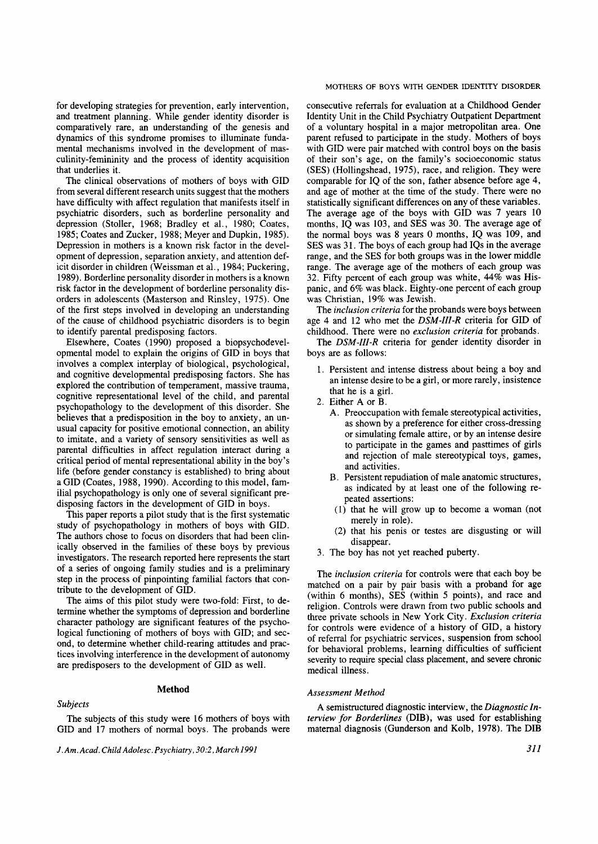for developing strategies for prevention, early intervention, and treatment planning. While gender identity disorder is comparatively rare, an understanding of the genesis and dynamics of this syndrome promises to illuminate fundamental mechanisms involved in the development of masculinity-femininity and the process of identity acquisition that underlies it.

The clinical observations of mothers of boys with GID from several different research units suggest that the mothers have difficulty with affect regulation that manifests itself in psychiatric disorders, such as borderline personality and depression (Stoller, 1968; Bradley et al., 1980; Coates, 1985; Coates and Zucker, 1988; Meyer and Dupkin, 1985). Depression in mothers is a known risk factor in the development of depression, separation anxiety, and attention deficit disorder in children (Weissman et al., 1984; Puckering, 1989). Borderline personality disorder in mothers is a known risk factor in the development of borderline personality disorders in adolescents (Masterson and Rinsley, 1975). One of the first steps involved in developing an understanding of the cause of childhood psychiatric disorders is to begin to identify parental predisposing factors.

Elsewhere, Coates (1990) proposed a biopsychodevelopmental model to explain the origins of GID in boys that involves a complex interplay of biological, psychological, and cognitive developmental predisposing factors. She has explored the contribution of temperament, massive trauma, cognitive representational level of the child, and parental psychopathology to the development of this disorder. She believes that a predisposition in the boy to anxiety, an unusual capacity for positive emotional connection, an ability to imitate, and a variety of sensory sensitivities as well as parental difficulties in affect regulation interact during a critical period of mental representational ability in the boy's life (before gender constancy is established) to bring about a GID (Coates, 1988, 1990). According to this model, familial psychopathology is only one of several significant predisposing factors in the development of GID in boys.

This paper reports a pilot study that is the first systematic study of psychopathology in mothers of boys with GID. The authors chose to focus on disorders that had been clinically observed in the families of these boys by previous investigators. The research reported here represents the start of a series of ongoing family studies and is a preliminary step in the process of pinpointing familial factors that contribute to the development of GID.

The aims of this pilot study were two-fold: First, to determine whether the symptoms of depression and borderline character pathology are significant features of the psychological functioning of mothers of boys with GID; and second, to determine whether child-rearing attitudes and practices involving interference in the development of autonomy are predisposers to the development of GID as well.

#### **Method**

# *Subjects*

The subjects of this study were 16 mothers of boys with GID and 17 mothers of normal boys. The probands were

*J. Am. Acad. Child Adolesc. Psychiatry, 30:2, March 1991* 

#### **MOTHERS OF BOYS WITH GENDER IDENTITY DISORDER**

consecutive referrals for evaluation at a Childhood Gender Identity Unit in the Child Psychiatry Outpatient Department of a voluntary hospital in a major metropolitan area. One parent refused to participate in the study. Mothers of boys with GID were pair matched with control boys on the basis of their son's age, on the family's socioeconomic status (SES) (Hollingshead, 1975), race, and religion. They were comparable for IQ of the son, father absence before age **4,**  and age of mother at the time of the study. There were no statistically significant differences on any of these variables. The average age of the boys with GID was 7 years 10 months, IQ was 103, and SES was 30. The average age of the normal boys was 8 years 0 months, IQ was  $109$ , and SES was 31. The boys of each group had IQs in the average range, and the SES for both groups was in the lower middle range. The average age of the mothers of each group was 32. Fifty percent of each group was white, 44% was Hispanic, and 6% was black. Eighty-one percent of each group was Christian, 19% was Jewish.

The *inclusion criteria* for the probands were boys between age 4 and 12 who met the *DSM-III-R* criteria for GID of childhood. There were no *exclusion criteria* for probands.

The *DSM-III-R* criteria for gender identity disorder in boys are as follows:

- 1. Persistent and intense distress about being a boy and an intense desire to be a girl, or more rarely, insistence that he is a girl.
- 2. Either **A** or B.
	- A. Preoccupation with female stereotypical activities, as shown by a preference for either cross-dressing or simulating female attire, or by an intense desire to participate in the games and pasttimes of girls and rejection of male stereotypical toys, games, and activities.
	- **B.** Persistent repudiation of male anatomic structures, as indicated by at least one of the following repeated assertions:
	- (I) that he will grow up to become a woman (not merely in role).
	- (2) that his penis or testes are disgusting or will disappear.
- 3. The boy has not yet reached puberty.

The *inclusion criteria* for controls were that each boy be matched on a pair by pair basis with a proband for age (within 6 months), SES (within *5* points), and race and religion. Controls were drawn from two public schools and three private schools in New York City. *Exclusion criteria*  for controls were evidence of a history of GID, a history of referral for psychiatric services, suspension from school for behavioral problems, learning difficulties of sufficient severity to require special class placement, and severe chronic medical illness.

# *Assessment Method*

A semistructured diagnostic interview, the *Diagnostic Interview for Borderlines* (DIB), was used for establishing maternal diagnosis (Gunderson and Kolb, 1978). The DIB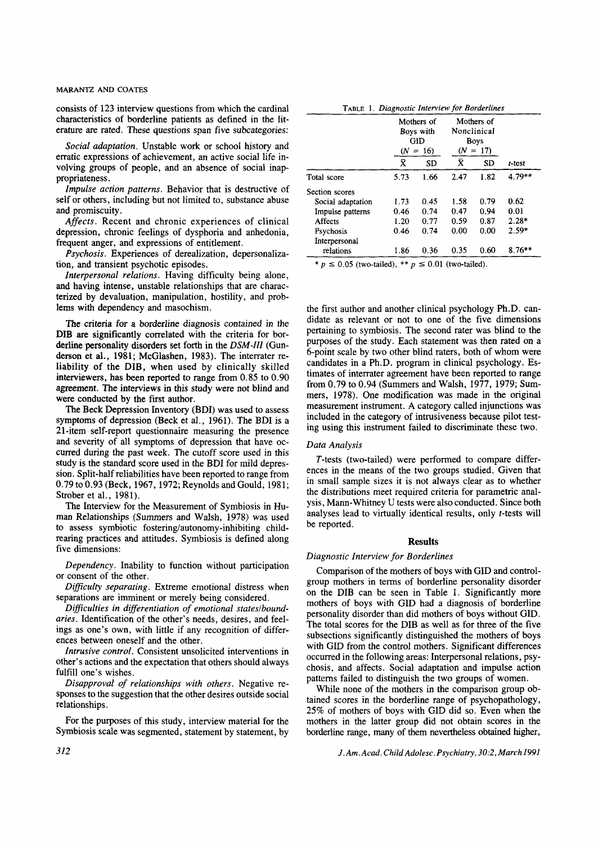#### **MARANTZ AND COATES**

consists of **123** interview questions from which the cardinal characteristics of borderline patients as defined in the literature *are* rated. These questions span five subcategories:

*Social adaptation.* Unstable work or school history and erratic expressions of achievement, an active social life involving groups of people, and an absence of social inappropriateness.

*Impulse action patterns.* Behavior that is destructive of self or others, including but not limited to, substance abuse and promiscuity.

*Affects.* Recent and chronic experiences of clinical depression, chronic feelings of dysphoria and anhedonia, frequent anger, and expressions of entitlement.

*Psychosis.* Experiences of derealization, depersonalization, and transient psychotic episodes.

*Interpersonal relations.* Having difficulty being alone, and having intense, unstable relationships that are characterized by devaluation, manipulation, hostility, and problems with dependency and masochism.

The criteria for a borderline diagnosis contained in the DIB are significantly correlated with the criteria for borderline personality disorders set forth in the *DSM-111* (Gunderson et al., **1981;** McGlashen, **1983).** The interrater reliability of the DIB, when used by clinically skilled interviewers, has been reported to range from **0.85** to **0.90**  agreement. The interviews in this study were not blind and were conducted by the first author.

The Beck Depression Inventory (BDI) was used to assess symptoms of depression (Beck et al., **1961).** The BDI is a **21** -item self-report questionnaire measuring the presence and severity of all symptoms of depression that have occurred during the past week. The cutoff score used in this study is the standard score used in the BDI for mild depression. Split-half reliabilities have been reported to range from **0.79** to **0.93** (Beck, **1967, 1972;** Reynolds and Gould, **1981;**  Strober et al., **1981).** 

The Interview for the Measurement of Symbiosis in Human Relationships (Summers and Walsh, **1978)** was used to assess symbiotic fostering/autonomy-inhibiting childrearing practices and attitudes. Symbiosis is defined along five dimensions:

*Dependency.* Inability to function without participation or consent of the other.

*Dificulty separating.* Extreme emotional distress when separations are imminent or merely being considered.

Difficulties in differentiation of emotional states/bound*aries.* Identification of the other's needs, desires, and feelings as one's own, with little if any recognition of differences between oneself and the other.

*Intrusive control.* Consistent unsolicited interventions in other's actions and the expectation that others should always fulfill one's wishes.

*Disapproval of relationships with others.* Negative responses to the suggestion that the other desires outside social relationships.

For the purposes of this study, interview material for the Symbiosis scale was segmented, statement by statement, by

|  | TABLE 1. Diagnostic Interview for Borderlines |  |
|--|-----------------------------------------------|--|
|  |                                               |  |

|                   | Mothers of<br>Boys with<br>GID<br>$(N = 16)$ |           | Mothers of<br>Nonclinical<br><b>Boys</b><br>$(N = 17)$ |      |           |
|-------------------|----------------------------------------------|-----------|--------------------------------------------------------|------|-----------|
|                   | Χ                                            | <b>SD</b> | Χ                                                      | SD   | t-test    |
| Total score       | 5.73                                         | 1.66      | 2.47                                                   | 1.82 | 4.79**    |
| Section scores    |                                              |           |                                                        |      |           |
| Social adaptation | 1.73                                         | 0.45      | 1.58                                                   | 0.79 | 0.62      |
| Impulse patterns  | 0.46                                         | 0.74      | 0.47                                                   | 0.94 | 0.01      |
| Affects           | 1.20                                         | 0.77      | 0.59                                                   | 0.87 | $2.28*$   |
| Psychosis         | 0.46                                         | 0.74      | 0.00                                                   | 0.00 | $2.59*$   |
| Interpersonal     |                                              |           |                                                        |      |           |
| relations         | 1.86                                         | 0.36      | 0.35                                                   | 0.60 | $8.76***$ |

 $* p \le 0.05$  (two-tailed),  $* p \le 0.01$  (two-tailed).

the first author and another clinical psychology Ph.D. candidate as relevant or not to one of the five dimensions pertaining to symbiosis. The second rater was blind to the purposes of the study. Each statement was then rated on a 6-point scale by two other blind raters, both of whom were candidates in a Ph.D. program in clinical psychology. Estimates of interrater agreement have been reported to range from **0.79** to **0.94** (Summers and Walsh, **1977, 1979;** Summers, **1978).** One modification was made in the original measurement instrument. **A** category called injunctions was included in the category of intrusiveness because pilot testing using this instrument failed to discriminate these two.

#### *Data Analysis*

T-tests (two-tailed) were performed to compare differences in the means of the two groups studied. Given that in small sample sizes it is not always clear as to whether the distributions meet required criteria for parametric analysis, Mann-Whitney U tests were also conducted. Since both analyses lead to virtually identical results, only t-tests will be reported.

#### **Results**

#### *Diagnostic Interview for Borderlines*

Comparison of the mothers of boys with GID and controlgroup mothers in terms of borderline personality disorder on the DIB can be seen in Table **1.** Significantly more mothers of boys with GID had a diagnosis of borderline personality disorder than did mothers of boys without GID. The total scores for the DIB as well as for three of the five subsections significantly distinguished the mothers of boys with GID from the control mothers. Significant differences occurred in the following areas: Interpersonal relations, psychosis, and affects. Social adaptation and impulse action patterns failed to distinguish the two groups of women.

While none of the mothers in the comparison group obtained scores in the borderline range of psychopathology, 25% of mothers of boys with GID did so. Even when the mothers in the latter group did not obtain scores in the borderline range, many of them nevertheless obtained higher,

*J.Am.Acad. Child Adolesc. Psychiatry,30:2,Marchl991*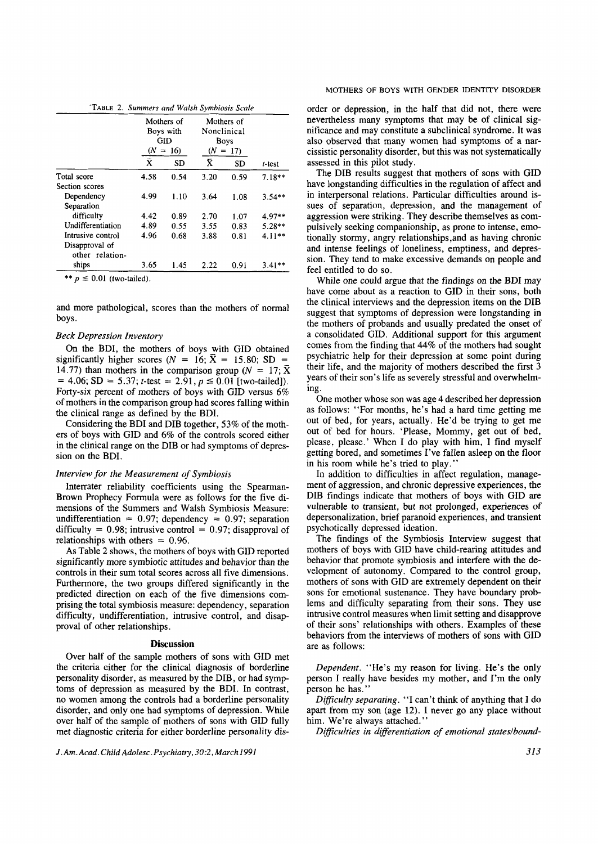|                   |                    | Mothers of<br>Boys with<br>GID | TABLE 2. Summers and Walsh Symbiosis Scale<br>Mothers of<br>Nonclinical<br>Boys |      |          |
|-------------------|--------------------|--------------------------------|---------------------------------------------------------------------------------|------|----------|
|                   | $(N = 16)$         |                                | $(N = 17)$                                                                      |      |          |
|                   | $\bar{\textbf{x}}$ | SD                             | x                                                                               | SD   | t-test   |
| Total score       | 4.58               | 0.54                           | 3.20                                                                            | 0.59 | $7.18**$ |
| Section scores    |                    |                                |                                                                                 |      |          |
| Dependency        | 4.99               | 1.10                           | 3.64                                                                            | 1.08 | $3.54**$ |
| Separation        |                    |                                |                                                                                 |      |          |
| difficulty        | 4.42               | 0.89                           | 2.70                                                                            | 1.07 | $4.97**$ |
| Undifferentiation | 4.89               | 0.55                           | 3.55                                                                            | 0.83 | $5.28**$ |
| Intrusive control | 4.96               | 0.68                           | 3.88                                                                            | 0.81 | $4.11**$ |
| Disapproval of    |                    |                                |                                                                                 |      |          |
| other relation-   |                    |                                |                                                                                 |      |          |
| ships             | 3.65               | 1.45                           | 2.22                                                                            | 0.91 | $3.41**$ |

and more pathological, scores than the mothers of normal boys.

# *Beck Depression Inventory*

On the BDI, the mothers of boys with GID obtained significantly higher scores  $(N = 16; \bar{X} = 15.80; SD)$ 14.77) than mothers in the comparison group  $(N = 17; \overline{X})$  $= 4.06$ ; SD = 5.37; t-test = 2.91,  $p \le 0.01$  [two-tailed]). Forty-six percent of mothers of boys with GID versus 6% of mothers in the comparison group had scores falling within the clinical range as defined by the BDI.

Considering the BDI and DIB together, 53% of the mothers of boys with GID and 6% of the controls scored either in the clinical range on the DIB or had symptoms of depression on the BDI.

# *Interview for the Measurement of Symbiosis*

Interrater reliability coefficients using the Spearman-Brown Prophecy Formula were as follows for the five dimensions of the Summers and Waish Symbiosis Measure: undifferentiation =  $0.97$ ; dependency =  $0.97$ ; separation difficulty = 0.98; intrusive control = 0.97; disapproval of relationships with others  $= 0.96$ .

**As** Table 2 shows, the mothers of boys with GID reported significantly more symbiotic attitudes and behavior than the controls in their sum total scores across all five dimensions. Furthermore, the two groups differed significantly in the predicted direction on each of the five dimensions comprising the total symbiosis measure: dependency, separation difficulty, undifferentiation, intrusive control, and disapproval of other relationships.

#### **Discussion**

Over half of the sample mothers of sons with GID met the criteria either for the clinical diagnosis of borderline personality disorder, as measured by the DIB, or had symptoms of depression as measured by the BDI. In contrast, no women among the controls had a borderline personality disorder, and only one had symptoms of depression. While over half of the sample of mothers of sons with GID fully met diagnostic criteria for either borderline personality dis-

order or depression, in the half that did not, there were nevertheless many symptoms that may be of clinical significance and may constitute a subclinical syndrome. It was also observed that many women had symptoms of a narcissistic personality disorder, but this was not systematically assessed in this pilot study.

The DIB results suggest that mothers of sons with GID have longstanding difficulties in the regulation of affect and in interpersonal relations. Particular difficulties around issues of separation, depression, and the management of aggression were striking. They describe themselves as compulsively seeking companionship, as prone to intense, emotionally stormy, angry relationships,and as having chronic and intense feelings of loneliness, emptiness, and depression. They tend to make excessive demands on people and feel entitled to do so.

While one could argue that the findings on the BDI may have come about as a reaction to GID in their sons, both the clinical interviews and the depression items on the DIB suggest that symptoms of depression were longstanding in the mothers of probands and usually predated the onset of a consolidated GID. Additional support for this argument comes from the finding that 44% of the mothers had sought psychiatric help for their depression at some point during their life, and the majority of mothers described the first 3 years of their son's life as severely stressful and overwhelming.

One mother whose son was age **4** described her depression as follows: "For months, he's had a hard time getting me out of bed, for years, actually. He'd be trying to get me out of bed for hours. 'Please, Mommy, get out of bed, please, please.' When I do play with him, I find myself getting bored, and sometimes I've fallen asleep on the floor in his room while he's tried to play."

In addition to difficulties in affect regulation, management of aggression, and chronic depressive experiences, the DIB findings indicate that mothers of boys with GID are vulnerable to transient, but not prolonged, experiences of depersonalization, brief paranoid experiences, and transient psychotically depressed ideation.

The findings of the Symbiosis Interview suggest that mothers of boys with GID have child-rearing attitudes and behavior that promote symbiosis and interfere with the development of autonomy. Compared to the control group, mothers of sons with GID are extremely dependent on their sons for emotional sustenance. They have boundary problems and difficulty separating from their sons. They use intrusive control measures when limit setting and disapprove of their sons' relationships with others. Examples of these behaviors from the interviews of mothers of sons with GID are as follows:

*Dependent.* "He's my reason for living. He's the only person **I** really have besides my mother, and I'm the only person he has. "

*Difficulty separating.* **"I** can't think of anything that **I** do apart from my son (age 12). **I** never go any place without him. We're always attached.'

*Dificulties in differentiation of emotional stateslbound-*

*J.Am.Acad. Child Adolesc. Psychiatry, 30:2,March1991*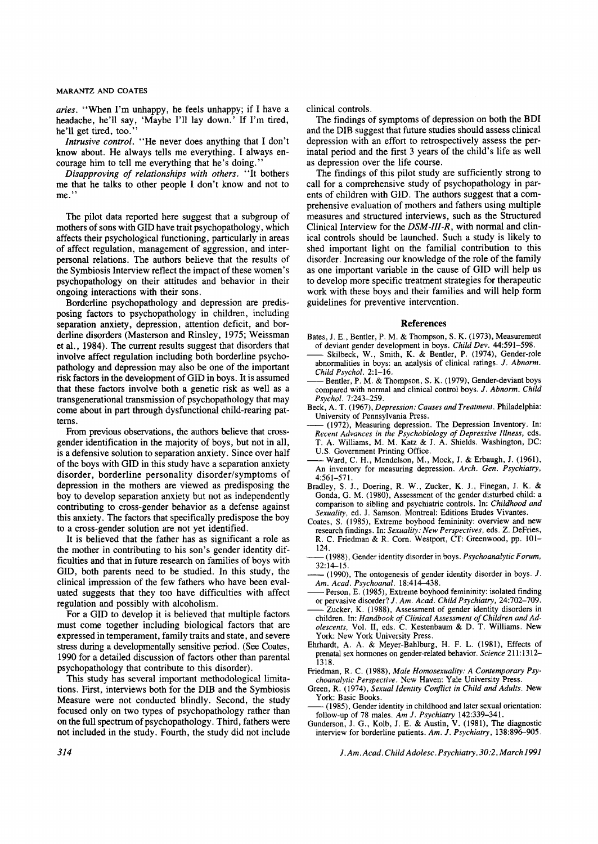# **MARANTZ AND COATES**

*aries.* "When I'm unhappy, he feels unhappy; if I have a headache, he'll say, 'Maybe I'll lay down.' If I'm tired, he'll get tired, too."

*Intrusive control.* "He never does anything that I don't know about. He always tells me everything. I always encourage him to tell me everything that he's doing."

*Disapproving* of *relationships with others.* "It bothers me that he talks to other people I don't know and not to me."

The pilot data reported here suggest that a subgroup of mothers of sons with GID have trait psychopathology, which affects their psychological functioning, particularly in areas of affect regulation, management of aggression, and interpersonal relations. The authors believe that the results of the Symbiosis Interview reflect the impact of these women's psychopathology on their attitudes and behavior in their ongoing interactions with their sons.

Borderline psychopathology and depression are predisposing factors to psychopathology in children, including separation anxiety, depression, attention deficit, and borderline disorders (Masterson and Rinsley, 1975; Weissman et al., **1984).** The current results suggest that disorders that involve affect regulation including both borderline psychopathology and depression may also be one of the important **risk** factors in the development of GID in boys. It is assumed that these factors involve both a genetic risk as well as a transgenerational transmission of psychopathology that may come about in part through dysfunctional child-rearing patterns.

From previous observations, the authors believe that crossgender identification in the majority of boys, but not in all, is a defensive solution to separation anxiety. Since over half of the boys with GID in this study have a separation anxiety disorder, borderline personality disorder/symptoms of depression in the mothers are viewed as predisposing the boy to develop separation anxiety but not as independently contributing to cross-gender behavior as a defense against this anxiety. The factors that specifically predispose the boy to a cross-gender solution are not yet identified.

It is believed that the father has as significant a role as the mother in contributing to his son's gender identity difficulties and that in future research on families of boys with GID, both parents need to be studied. In this study, the clinical impression of the few fathers who have been evaluated suggests that they too have difficulties with affect regulation and possibly with alcoholism.

For a GID to develop it is believed that multiple factors must come together including biological factors that are expressed in temperament, family traits and state, and severe stress during a developmentally sensitive period. (See Coates, 1990 for a detailed discussion of factors other than parental psychopathology that contribute to this disorder).

This study has several important methodological limitations. First, interviews both for the DIB and the Symbiosis Measure were not conducted blindly. Second, the study focused only on two types of psychopathology rather than on the full spectrum of psychopathology. Third, fathers were not included in the study. Fourth, the study did not include clinical controls.

The findings of symptoms of depression on both the BDI and the DIB suggest that future studies should assess clinical depression with an effort to retrospectively assess the perinatal period and the first **3** years of the child's life as well as depression over the life course.

The findings of this pilot study are sufficiently strong to call for a comprehensive study of psychopathology in parents of children with GID. The authors suggest that a comprehensive evaluation of mothers and fathers using multiple measures and structured interviews, such as the Structured Clinical Interview for the DSM-III-R, with normal and clinical controls should be launched. Such a study is likely to shed important light on the familial contribution to this disorder. Increasing our knowledge of the role of the family as one important variable in the cause of GID will help us to develop more specific treatment strategies for therapeutic work with these boys and their families and will help form guidelines for preventive intervention.

### **References**

- Bates, J. E., Bentler, P. M. & Thompson, S. K. (1973), Measurement of deviant gender development in boys. *Child Dev.* 44591-598.
- **References**<br>Bates, J. E., Bentler, P. M. & Thompson, S. K. (1973), Measurement<br>of deviant gender development in boys. Child Dev. 44:591–598.<br>Skilbeck, W., Smith, K. & Bentler, P. (1974), Gender-role<br>abnormalities in boys: abnormalities in boys: an analysis of clinical ratings. J. *Abnorm. Child Psychol.* 2:l-16. Bates, J. E., Bentler, P. M. & 1 nompson, S. K. (1973), Measurement<br>of deviant gender development in boys. *Child Dev.* 44:591–598.<br>—— Skilbeck, W., Smith, K. & Bentler, P. (1974), Gender-role<br>abnormalities in boys: an ana
- compared with normal and clinical control boys. *J. Abnorm. Child Psychol.* 7:243-259.
- Beck, A. T. (1967), *Depression: Causes and Treatment.* Philadelphia: University of Pennsylvania Press.
- (1972), Measuring depression. The Depression Inventory. In: *Recent Advances in the Psychobiology* of *Depressive Illness,* eds. T. A. Williams, M. M. Katz & J. A. Shields. Washington, DC: U.S. Government Printing Office.
- Ward, C. H., Mendelson, M., Mock, J. & Erbaugh, J. (1961), An inventory for measuring depression. *Arch. Gen. Psychiatry,*  4:561-571.
- Bradley, *S.* J., Doering, R. W., Zucker, K. J., Finegan, J. K. & Gonda, G. M. (1980), Assessment of the gender disturbed child: a comparison to sibling and psychiatric controls. In: *Childhood and Sexuality,* ed. J. Samson. Montreal: Editions Etudes Vivantes.
- Coates, S. (1985), Extreme boyhood femininity: overview and new research findings. In: *Sexuality: New Perspectives,* eds. *Z.* DeFries, R. C. Friedman & R. Corn. Westport, CT: Greenwood, pp. 101- Sexuality, ed. J. Samson. Montreal: Editions Etudes Vivantes.<br>Coates, S. (1985), Extreme boyhood femininity: overview and new<br>research findings. In: *Sexuality: New Perspectives*, eds. Z. DeFries,<br>R. C. Friedman & R. Corn. research findings. In: *Sexuality: New Perspectives*, eds. Z. DeFries,<br>
R. C. Friedman & R. Corn. Westport, CT: Greenwood, pp. 101-<br>
124.<br>
(1998), Gender identity disorder in boys. *Psychoanalytic Forum*,<br>
32:14-15.<br>
(1990
- 124.<br>— (1988), Gender identity disorder in boys. Psychoanalytic Forum,
- *Am. Acad. Psychoanal.* 18:414-438.
- 124.<br>  $-$  (1988), Gender identity disorder in boys. *Psychoanalytic Forum*,<br>
32:14-15.<br>  $-$  (1990), The ontogenesis of gender identity disorder in boys. *J.*<br>
Am. Acad. *Psychoanal*. 18:414-438.<br> **-** Person, E. (1985), Ex or pervasive disorder? J. *Am. Acad. Child Psychiatry,* 24:702-709. 32:14–15.<br>
— (1990), The ontogenesis of gender identity disorder in boys. J.<br>
Am. Acad. Psychoanal. 18:414–438.<br>
— Person, E. (1985), Extreme boyhood femininity: isolated finding<br>
or pervasive disorder? J. Am. Acad. Child
- children. In: *Handbook* of *Clinical Assessment of Children and Adolescents,* Vol. **11,** eds. C. Kestenbaum & D. T. Williams. New York: New York University Press.
- Ehrhardt, A. A. & Meyer-Bahlburg, H. F. L. (1981), Effects of prenatal sex hormones on gender-related behavior. *Science* 211:1312-1318.
- Friedman, R. C. (1988), *Male Homosexuality: A Contemporary Psychoanalytic Perspective.* New Haven: Yale University Press.
- Green, R. (1974), *Sexual Identity Conflict in Child and Adults.* New York: Basic Books.<br>— (1985), Gender identity in childhood and later sexual orientation: 1318.<br>
Friedman, R. C. (1988), Male Homosexuality: A Contemporary Psy-<br>
choanalytic Perspective. New Haven: Yale University Press.<br>
Green, R. (1974), Sexual Identity Conflict in Child and Adults. New<br>
York: Basic Books.<br>
—
- 
- interview for borderline patients. *Am. J. Psychiatry,* 138:896-905.

*J.Am.Acad. ChildAdolesc. Psychiatry,30:2,March1991*